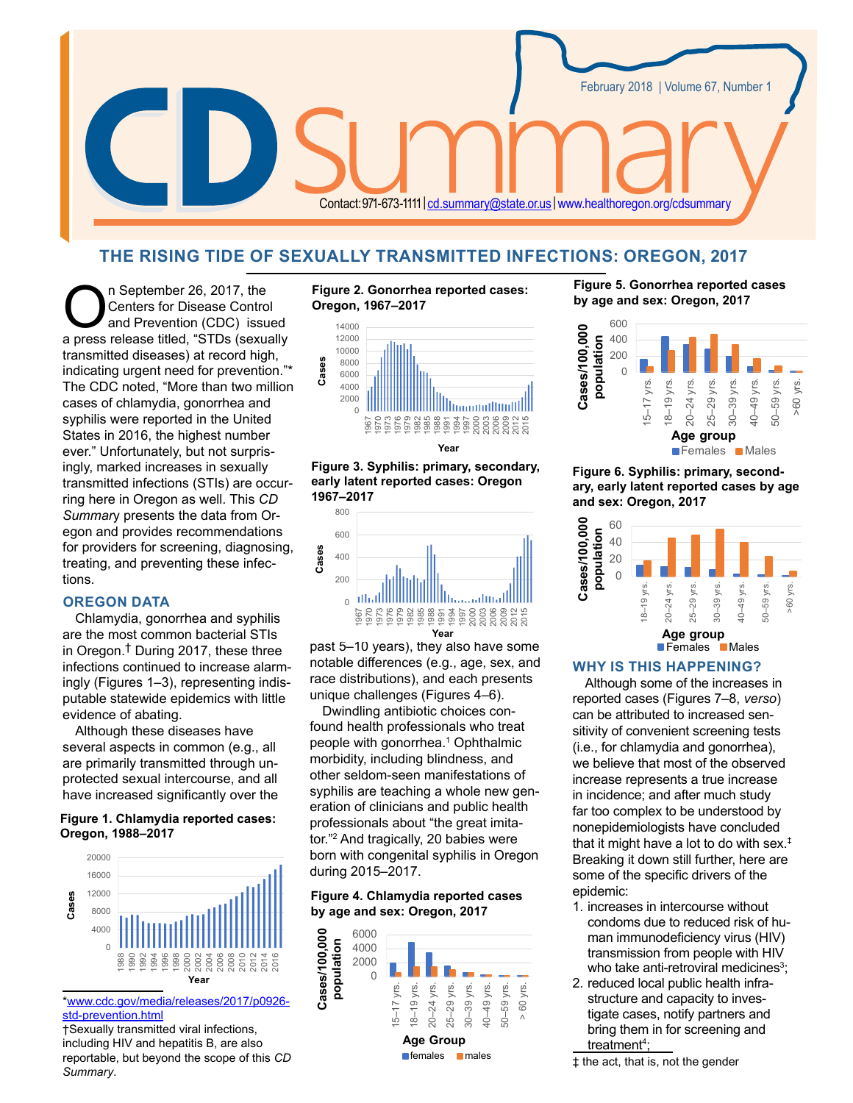

# **THE RISING TIDE OF SEXUALLY TRANSMITTED INFECTIONS: OREGON, 2017**

Centers for Disease Control<br>and Prevention (CDC) issue<br>a press release titled "STDs (sexual Centers for Disease Control and Prevention (CDC) issued a press release titled, "STDs (sexually transmitted diseases) at record high, indicating urgent need for prevention."\* The CDC noted, "More than two million cases of chlamydia, gonorrhea and syphilis were reported in the United States in 2016, the highest number ever." Unfortunately, but not surprisingly, marked increases in sexually transmitted infections (STIs) are occurring here in Oregon as well. This *CD Summar*y presents the data from Oregon and provides recommendations for providers for screening, diagnosing, treating, and preventing these infections.

### **OREGON DATA**

Chlamydia, gonorrhea and syphilis are the most common bacterial STIs in Oregon.† During 2017, these three infections continued to increase alarmingly (Figures 1–3), representing indisputable statewide epidemics with little evidence of abating.

Although these diseases have several aspects in common (e.g., all are primarily transmitted through unprotected sexual intercourse, and all have increased significantly over the

### **Figure 1. Chlamydia reported cases: Oregon, 1988–2017**



[\\*www.cdc.gov/media/releases/2017/p0926](http://www.cdc.gov/media/releases/2017/p0926-std-prevention.html) [std-prevention.html](http://www.cdc.gov/media/releases/2017/p0926-std-prevention.html)

†Sexually transmitted viral infections, including HIV and hepatitis B, are also reportable, but beyond the scope of this *CD Summary*.





**Figure 3. Syphilis: primary, secondary, early latent reported cases: Oregon 1967–2017**



past 5–10 years), they also have some notable differences (e.g., age, sex, and race distributions), and each presents unique challenges (Figures 4–6).

Dwindling antibiotic choices confound health professionals who treat people with gonorrhea.<sup>1</sup> Ophthalmic morbidity, including blindness, and other seldom-seen manifestations of syphilis are teaching a whole new generation of clinicians and public health professionals about "the great imitator."2 And tragically, 20 babies were born with congenital syphilis in Oregon during 2015–2017.

**Figure 4. Chlamydia reported cases by age and sex: Oregon, 2017**



**Figure 5. Gonorrhea reported cases by age and sex: Oregon, 2017**



# **Figure 6. Syphilis: primary, secondary, early latent reported cases by age and sex: Oregon, 2017**



### **WHY IS THIS HAPPENING?**

Although some of the increases in reported cases (Figures 7–8, *verso*) can be attributed to increased sensitivity of convenient screening tests (i.e., for chlamydia and gonorrhea), we believe that most of the observed increase represents a true increase in incidence; and after much study far too complex to be understood by nonepidemiologists have concluded that it might have a lot to do with sex.‡ Breaking it down still further, here are some of the specific drivers of the epidemic:

- 1. increases in intercourse without condoms due to reduced risk of human immunodeficiency virus (HIV) transmission from people with HIV who take anti-retroviral medicines $^3;$
- 2. reduced local public health infrastructure and capacity to investigate cases, notify partners and bring them in for screening and <u>treatment<sup>4</sup>;</u>

‡ the act, that is, not the gender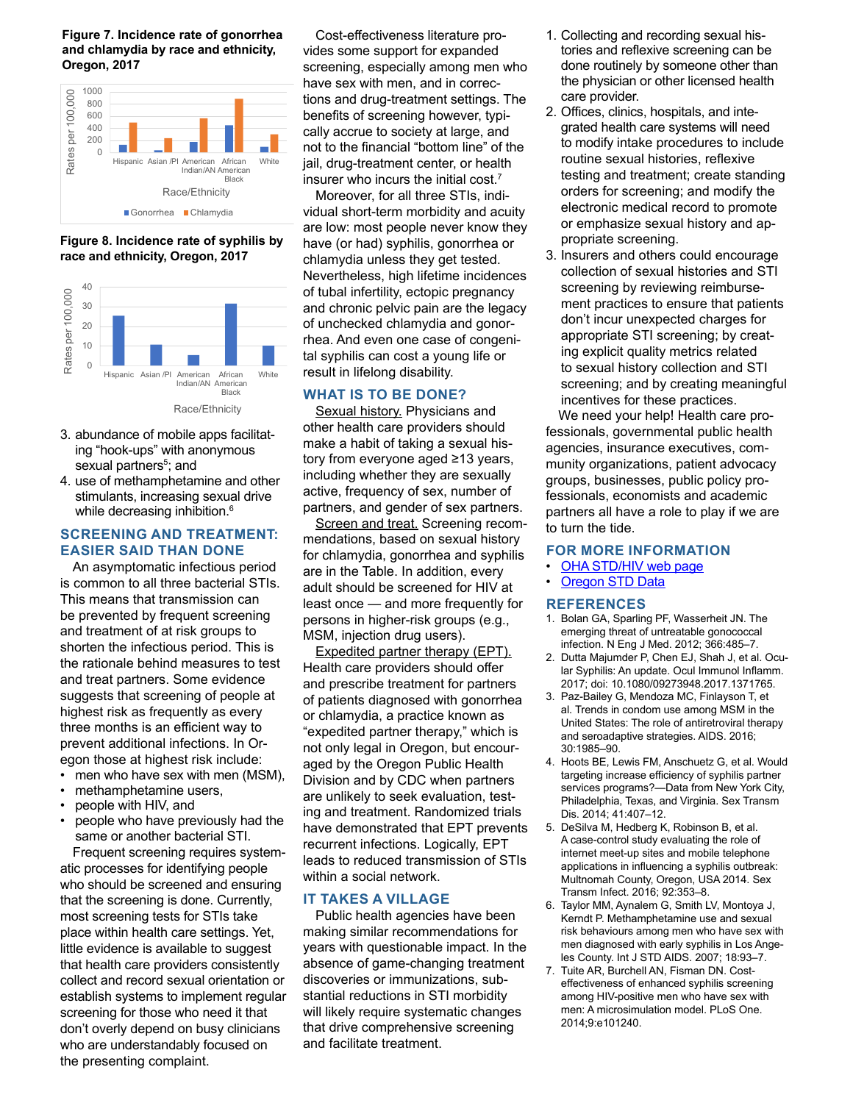**Figure 7. Incidence rate of gonorrhea and chlamydia by race and ethnicity, Oregon, 2017** 







- 3. abundance of mobile apps facilitating "hook-ups" with anonymous sexual partners<sup>5</sup>; and
- 4. use of methamphetamine and other stimulants, increasing sexual drive while decreasing inhibition.<sup>6</sup>

# **SCREENING AND TREATMENT: EASIER SAID THAN DONE**

An asymptomatic infectious period is common to all three bacterial STIs. This means that transmission can be prevented by frequent screening and treatment of at risk groups to shorten the infectious period. This is the rationale behind measures to test and treat partners. Some evidence suggests that screening of people at highest risk as frequently as every three months is an efficient way to prevent additional infections. In Oregon those at highest risk include:

- men who have sex with men (MSM),
- methamphetamine users,
- people with HIV, and
- people who have previously had the same or another bacterial STI.

Frequent screening requires systematic processes for identifying people who should be screened and ensuring that the screening is done. Currently, most screening tests for STIs take place within health care settings. Yet, little evidence is available to suggest that health care providers consistently collect and record sexual orientation or establish systems to implement regular screening for those who need it that don't overly depend on busy clinicians who are understandably focused on the presenting complaint.

Cost-effectiveness literature provides some support for expanded screening, especially among men who have sex with men, and in corrections and drug-treatment settings. The benefits of screening however, typically accrue to society at large, and not to the financial "bottom line" of the jail, drug-treatment center, or health insurer who incurs the initial cost.7

Moreover, for all three STIs, individual short-term morbidity and acuity are low: most people never know they have (or had) syphilis, gonorrhea or chlamydia unless they get tested. Nevertheless, high lifetime incidences of tubal infertility, ectopic pregnancy and chronic pelvic pain are the legacy of unchecked chlamydia and gonorrhea. And even one case of congenital syphilis can cost a young life or result in lifelong disability.

# **WHAT IS TO BE DONE?**

Sexual history. Physicians and other health care providers should make a habit of taking a sexual history from everyone aged ≥13 years, including whether they are sexually active, frequency of sex, number of partners, and gender of sex partners.

Screen and treat. Screening recommendations, based on sexual history for chlamydia, gonorrhea and syphilis are in the Table. In addition, every adult should be screened for HIV at least once — and more frequently for persons in higher-risk groups (e.g., MSM, injection drug users).

Expedited partner therapy (EPT). Health care providers should offer and prescribe treatment for partners of patients diagnosed with gonorrhea or chlamydia, a practice known as "expedited partner therapy," which is not only legal in Oregon, but encouraged by the Oregon Public Health Division and by CDC when partners are unlikely to seek evaluation, testing and treatment. Randomized trials have demonstrated that EPT prevents recurrent infections. Logically, EPT leads to reduced transmission of STIs within a social network.

# **IT TAKES A VILLAGE**

Public health agencies have been making similar recommendations for years with questionable impact. In the absence of game-changing treatment discoveries or immunizations, substantial reductions in STI morbidity will likely require systematic changes that drive comprehensive screening and facilitate treatment.

- 1. Collecting and recording sexual histories and reflexive screening can be done routinely by someone other than the physician or other licensed health care provider.
- 2. Offices, clinics, hospitals, and integrated health care systems will need to modify intake procedures to include routine sexual histories, reflexive testing and treatment; create standing orders for screening; and modify the electronic medical record to promote or emphasize sexual history and appropriate screening.
- 3. Insurers and others could encourage collection of sexual histories and STI screening by reviewing reimbursement practices to ensure that patients don't incur unexpected charges for appropriate STI screening; by creating explicit quality metrics related to sexual history collection and STI screening; and by creating meaningful incentives for these practices.

We need your help! Health care professionals, governmental public health agencies, insurance executives, community organizations, patient advocacy groups, businesses, public policy professionals, economists and academic partners all have a role to play if we are to turn the tide.

#### **FOR MORE INFORMATION**

- [OHA STD/HIV web page](http://www.oregon.gov/oha/PH/DiseasesConditions/HIVSTDViralHepatitis/Pages/index.aspx)
- [Oregon STD Data](http://www.oregon.gov/oha/PH/DiseasesConditions/CommunicableDisease/DiseaseSurveillanceData/STD/Pages/index.aspx)

#### **REFERENCES**

- 1. Bolan GA, Sparling PF, Wasserheit JN. The emerging threat of untreatable gonococcal infection. N Eng J Med. 2012; 366:485–7.
- 2. Dutta Majumder P, Chen EJ, Shah J, et al. Ocular Syphilis: An update. Ocul Immunol Inflamm. 2017; doi: 10.1080/09273948.2017.1371765.
- 3. Paz-Bailey G, Mendoza MC, Finlayson T, et al. Trends in condom use among MSM in the United States: The role of antiretroviral therapy and seroadaptive strategies. AIDS. 2016; 30:1985–90.
- 4. Hoots BE, Lewis FM, Anschuetz G, et al. Would targeting increase efficiency of syphilis partner services programs?—Data from New York City, Philadelphia, Texas, and Virginia. Sex Transm Dis. 2014; 41:407–12.
- 5. DeSilva M, Hedberg K, Robinson B, et al. A case-control study evaluating the role of internet meet-up sites and mobile telephone applications in influencing a syphilis outbreak: Multnomah County, Oregon, USA 2014. Sex Transm Infect. 2016; 92:353–8.
- 6. Taylor MM, Aynalem G, Smith LV, Montoya J, Kerndt P. Methamphetamine use and sexual risk behaviours among men who have sex with men diagnosed with early syphilis in Los Angeles County. Int J STD AIDS. 2007; 18:93–7.
- 7. Tuite AR, Burchell AN, Fisman DN. Costeffectiveness of enhanced syphilis screening among HIV-positive men who have sex with men: A microsimulation model. PLoS One. 2014;9:e101240.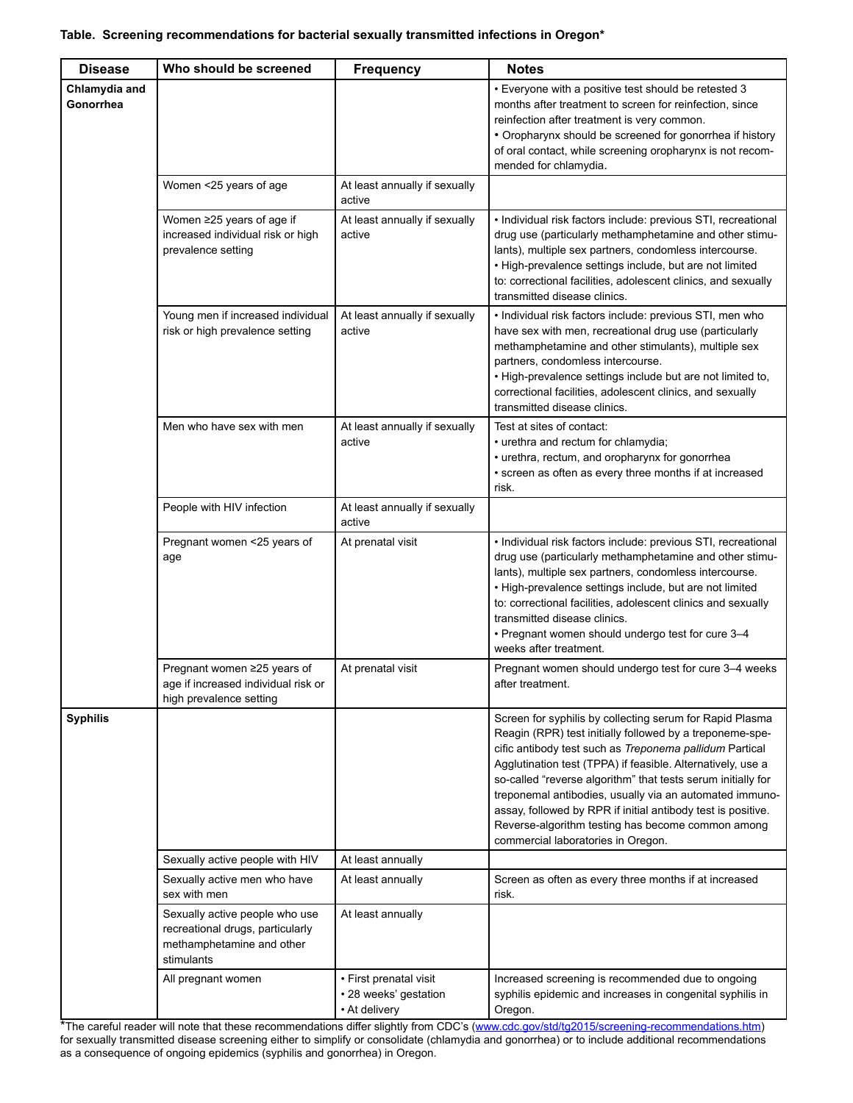| <b>Disease</b>             | Who should be screened                                                                                        | <b>Frequency</b>                                                 | <b>Notes</b>                                                                                                                                                                                                                                                                                                                                                                                                                                                                                                                         |
|----------------------------|---------------------------------------------------------------------------------------------------------------|------------------------------------------------------------------|--------------------------------------------------------------------------------------------------------------------------------------------------------------------------------------------------------------------------------------------------------------------------------------------------------------------------------------------------------------------------------------------------------------------------------------------------------------------------------------------------------------------------------------|
| Chlamydia and<br>Gonorrhea |                                                                                                               |                                                                  | • Everyone with a positive test should be retested 3<br>months after treatment to screen for reinfection, since<br>reinfection after treatment is very common.<br>• Oropharynx should be screened for gonorrhea if history<br>of oral contact, while screening oropharynx is not recom-<br>mended for chlamydia.                                                                                                                                                                                                                     |
|                            | Women <25 years of age                                                                                        | At least annually if sexually<br>active                          |                                                                                                                                                                                                                                                                                                                                                                                                                                                                                                                                      |
|                            | Women ≥25 years of age if<br>increased individual risk or high<br>prevalence setting                          | At least annually if sexually<br>active                          | • Individual risk factors include: previous STI, recreational<br>drug use (particularly methamphetamine and other stimu-<br>lants), multiple sex partners, condomless intercourse.<br>• High-prevalence settings include, but are not limited<br>to: correctional facilities, adolescent clinics, and sexually<br>transmitted disease clinics.                                                                                                                                                                                       |
|                            | Young men if increased individual<br>risk or high prevalence setting                                          | At least annually if sexually<br>active                          | • Individual risk factors include: previous STI, men who<br>have sex with men, recreational drug use (particularly<br>methamphetamine and other stimulants), multiple sex<br>partners, condomless intercourse.<br>• High-prevalence settings include but are not limited to,<br>correctional facilities, adolescent clinics, and sexually<br>transmitted disease clinics.                                                                                                                                                            |
|                            | Men who have sex with men                                                                                     | At least annually if sexually<br>active                          | Test at sites of contact:<br>• urethra and rectum for chlamydia;<br>• urethra, rectum, and oropharynx for gonorrhea<br>• screen as often as every three months if at increased<br>risk.                                                                                                                                                                                                                                                                                                                                              |
|                            | People with HIV infection                                                                                     | At least annually if sexually<br>active                          |                                                                                                                                                                                                                                                                                                                                                                                                                                                                                                                                      |
|                            | Pregnant women <25 years of<br>age                                                                            | At prenatal visit                                                | · Individual risk factors include: previous STI, recreational<br>drug use (particularly methamphetamine and other stimu-<br>lants), multiple sex partners, condomless intercourse.<br>• High-prevalence settings include, but are not limited<br>to: correctional facilities, adolescent clinics and sexually<br>transmitted disease clinics.<br>• Pregnant women should undergo test for cure 3-4<br>weeks after treatment.                                                                                                         |
|                            | Pregnant women ≥25 years of<br>age if increased individual risk or<br>high prevalence setting                 | At prenatal visit                                                | Pregnant women should undergo test for cure 3-4 weeks<br>after treatment.                                                                                                                                                                                                                                                                                                                                                                                                                                                            |
| <b>Syphilis</b>            |                                                                                                               |                                                                  | Screen for syphilis by collecting serum for Rapid Plasma<br>Reagin (RPR) test initially followed by a treponeme-spe-<br>cific antibody test such as Treponema pallidum Partical<br>Agglutination test (TPPA) if feasible. Alternatively, use a<br>so-called "reverse algorithm" that tests serum initially for<br>treponemal antibodies, usually via an automated immuno-<br>assay, followed by RPR if initial antibody test is positive.<br>Reverse-algorithm testing has become common among<br>commercial laboratories in Oregon. |
|                            | Sexually active people with HIV                                                                               | At least annually                                                |                                                                                                                                                                                                                                                                                                                                                                                                                                                                                                                                      |
|                            | Sexually active men who have<br>sex with men                                                                  | At least annually                                                | Screen as often as every three months if at increased<br>risk.                                                                                                                                                                                                                                                                                                                                                                                                                                                                       |
|                            | Sexually active people who use<br>recreational drugs, particularly<br>methamphetamine and other<br>stimulants | At least annually                                                |                                                                                                                                                                                                                                                                                                                                                                                                                                                                                                                                      |
|                            | All pregnant women                                                                                            | • First prenatal visit<br>• 28 weeks' gestation<br>• At delivery | Increased screening is recommended due to ongoing<br>syphilis epidemic and increases in congenital syphilis in<br>Oregon.                                                                                                                                                                                                                                                                                                                                                                                                            |

\*The careful reader will note that these recommendations differ slightly from CDC's ([www.cdc.gov/std/tg2015/screening-recommendations.htm](http://www.cdc.gov/std/tg2015/screening-recommendations.htm)) for sexually transmitted disease screening either to simplify or consolidate (chlamydia and gonorrhea) or to include additional recommendations as a consequence of ongoing epidemics (syphilis and gonorrhea) in Oregon.